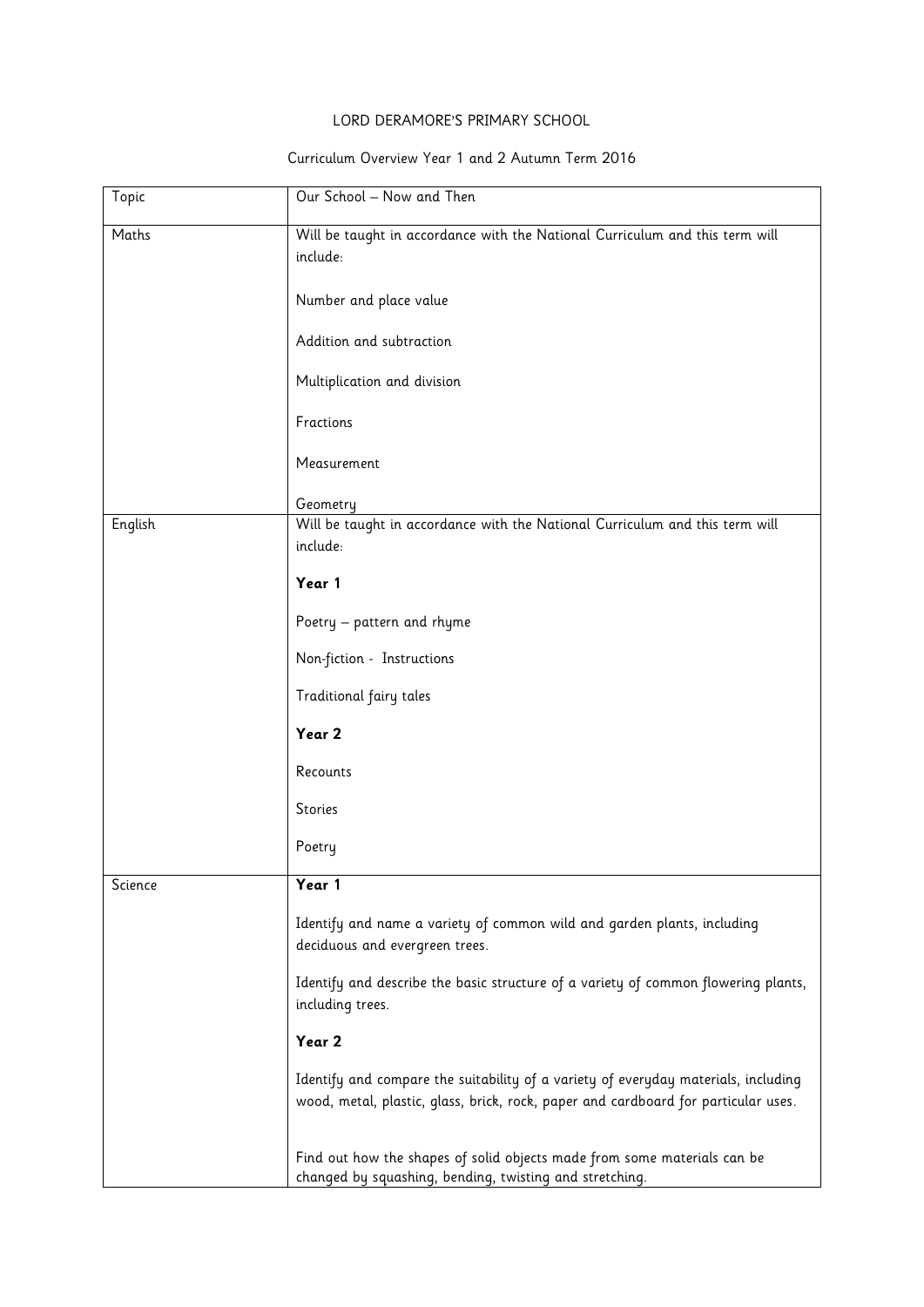## LORD DERAMORE'S PRIMARY SCHOOL

## Curriculum Overview Year 1 and 2 Autumn Term 2016

| Topic   | Our School - Now and Then                                                                                                           |
|---------|-------------------------------------------------------------------------------------------------------------------------------------|
| Maths   | Will be taught in accordance with the National Curriculum and this term will                                                        |
|         | include:                                                                                                                            |
|         |                                                                                                                                     |
|         | Number and place value                                                                                                              |
|         | Addition and subtraction                                                                                                            |
|         |                                                                                                                                     |
|         | Multiplication and division                                                                                                         |
|         | Fractions                                                                                                                           |
|         |                                                                                                                                     |
|         | Measurement                                                                                                                         |
|         | Geometry                                                                                                                            |
| English | Will be taught in accordance with the National Curriculum and this term will                                                        |
|         | include:                                                                                                                            |
|         | Year 1                                                                                                                              |
|         |                                                                                                                                     |
|         | Poetry - pattern and rhyme                                                                                                          |
|         | Non-fiction - Instructions                                                                                                          |
|         | Traditional fairy tales                                                                                                             |
|         | Year 2                                                                                                                              |
|         | Recounts                                                                                                                            |
|         | Stories                                                                                                                             |
|         | Poetry                                                                                                                              |
| Science | Year 1                                                                                                                              |
|         |                                                                                                                                     |
|         | Identify and name a variety of common wild and garden plants, including<br>deciduous and evergreen trees.                           |
|         |                                                                                                                                     |
|         | Identify and describe the basic structure of a variety of common flowering plants,<br>including trees.                              |
|         | Year 2                                                                                                                              |
|         | Identify and compare the suitability of a variety of everyday materials, including                                                  |
|         | wood, metal, plastic, glass, brick, rock, paper and cardboard for particular uses.                                                  |
|         |                                                                                                                                     |
|         | Find out how the shapes of solid objects made from some materials can be<br>changed by squashing, bending, twisting and stretching. |